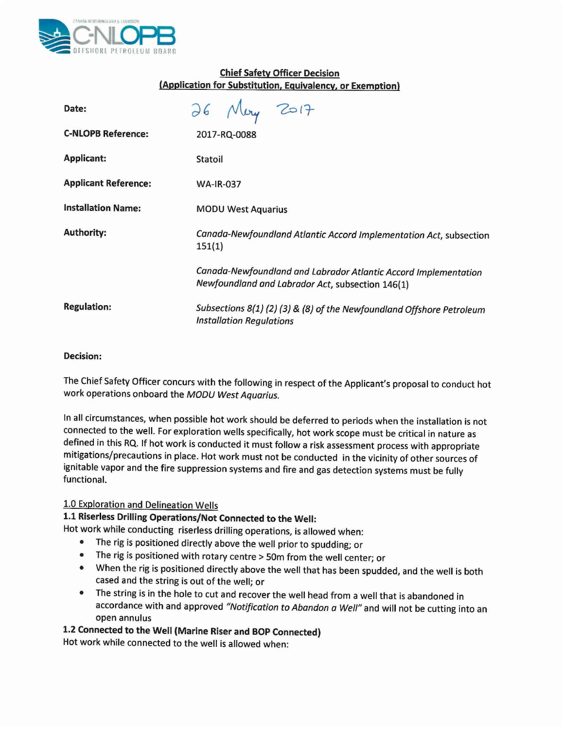

## Chief Safety Officer Decision (Application for Substitution, Equivalency, or Exemption)

| Date:                       | 26 May 2017                                                                                                         |
|-----------------------------|---------------------------------------------------------------------------------------------------------------------|
| <b>C-NLOPB Reference:</b>   | 2017-RQ-0088                                                                                                        |
| <b>Applicant:</b>           | Statoil                                                                                                             |
| <b>Applicant Reference:</b> | <b>WA-IR-037</b>                                                                                                    |
| <b>Installation Name:</b>   | <b>MODU West Aquarius</b>                                                                                           |
| <b>Authority:</b>           | Canada-Newfoundland Atlantic Accord Implementation Act, subsection<br>151(1)                                        |
|                             | Canada-Newfoundland and Labrador Atlantic Accord Implementation<br>Newfoundland and Labrador Act, subsection 146(1) |
| <b>Regulation:</b>          | Subsections 8(1) (2) (3) & (8) of the Newfoundland Offshore Petroleum<br><b>Installation Regulations</b>            |

### Decision:

The Chief Safety Officer concurs with the following in respect of the Applicant's proposal to conduct hot work operations onboard the *MODU West Aquarius.*

In all Circumstances, when possible hot work should be deferred to periods when the installation is not connected to the well. For exploration wells specifically, hot work scope must be critical in nature as defined in this RQ. If hot work is conducted it must follow a risk assessment process with appropriate mitigations/precautions in place. Hot work must not be conducted in the vicinity of other sources of ignitable vapor and the fire suppression systems and fire and gas detection systems must be fully functional.

### 1.0 Exploration and Delineation Wells

# 1.1 Riserless Drilling Operations/Not Connected to the Well:

- Hot work while conducting riserless drilling operations, is allowed when:
	- The rig is positioned directly above the well prior to spudding; or
	- The rig is positioned with rotary centre> 50m from the well center; or
	- When the rig is positioned directly above the well that has been spudded, and the well is both cased and the string is out of the well; or
	- The string is in the hole to cut and recover the well head from a well that is abandoned in accordance with and approved *"Notification to Abandon* a *Well"* and will not be cutting into an open annulus

# 1.2 Connected to the Well (Marine Riser and BOP Connected)

Hot work while connected to the well is allowed when: